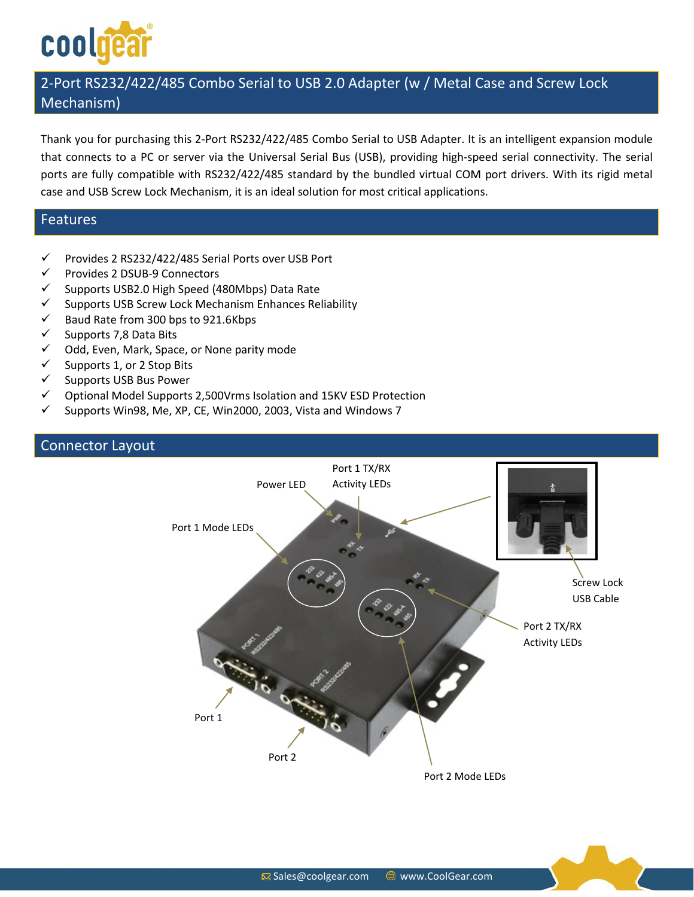

## 2-Port RS232/422/485 Combo Serial to USB 2.0 Adapter (w / Metal Case and Screw Lock Mechanism)

Thank you for purchasing this [2-Port RS232/422/485 Combo](http://www.coolgear.com/product/rs232422485-to-usb-2-0-serial-adapter-combo) Serial to USB Adapter. It is an intelligent expansion module that connects to a PC or server via the Universal Serial Bus (USB), providing high-speed serial connectivity. The serial ports are fully compatible with RS232/422/485 standard by the bundled virtual COM port drivers. With its rigid metal case and USB Screw Lock Mechanism, it is an ideal solution for most critical applications.

#### **Features**

- Provides 2 RS232/422/485 Serial Ports over USB Port
- Provides 2 DSUB-9 Connectors
- $\checkmark$  Supports USB2.0 High Speed (480Mbps) Data Rate
- $\checkmark$  Supports USB Screw Lock Mechanism Enhances Reliability
- $\checkmark$  Baud Rate from 300 bps to 921.6Kbps
- $\checkmark$  Supports 7,8 Data Bits
- Odd, Even, Mark, Space, or None parity mode
- Supports 1, or 2 Stop Bits
- $\checkmark$  Supports USB Bus Power
- Optional Model Supports 2,500Vrms Isolation and 15KV ESD Protection
- $\checkmark$  Supports Win98, Me, XP, CE, Win2000, 2003, Vista and Windows 7

#### Connector Layout

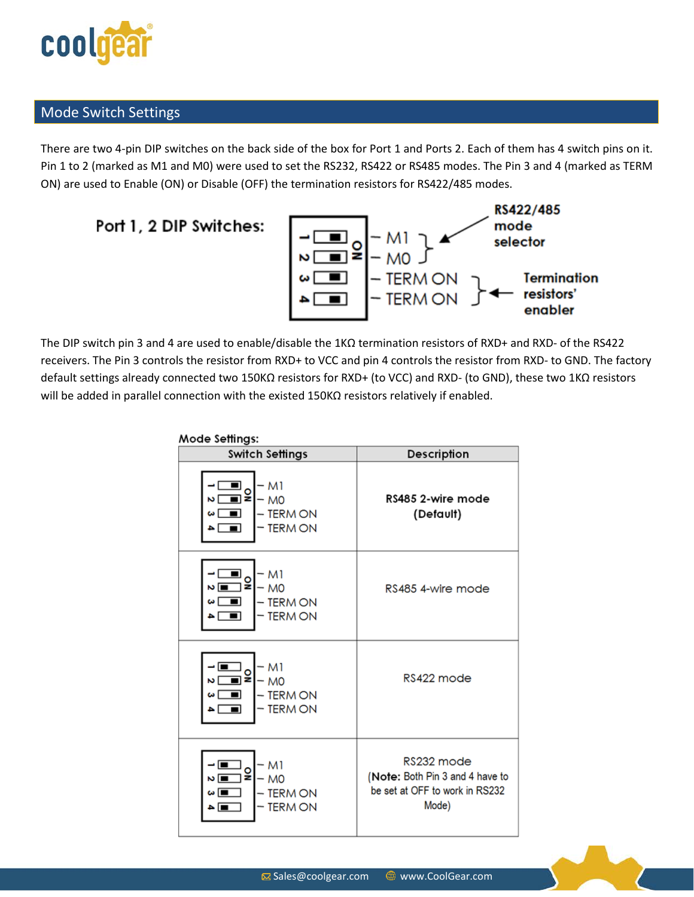

#### Mode Switch Settings

There are two 4-pin DIP switches on the back side of the box for Port 1 and Ports 2. Each of them has 4 switch pins on it. Pin 1 to 2 (marked as M1 and M0) were used to set the RS232, RS422 or RS485 modes. The Pin 3 and 4 (marked as TERM ON) are used to Enable (ON) or Disable (OFF) the termination resistors for RS422/485 modes.

## Port 1, 2 DIP Switches:



The DIP switch pin 3 and 4 are used to enable/disable the 1KΩ termination resistors of RXD+ and RXD- of the RS422 receivers. The Pin 3 controls the resistor from RXD+ to VCC and pin 4 controls the resistor from RXD- to GND. The factory default settings already connected two 150KΩ resistors for RXD+ (to VCC) and RXD- (to GND), these two 1KΩ resistors will be added in parallel connection with the existed 150KΩ resistors relatively if enabled.



#### Mode Settings: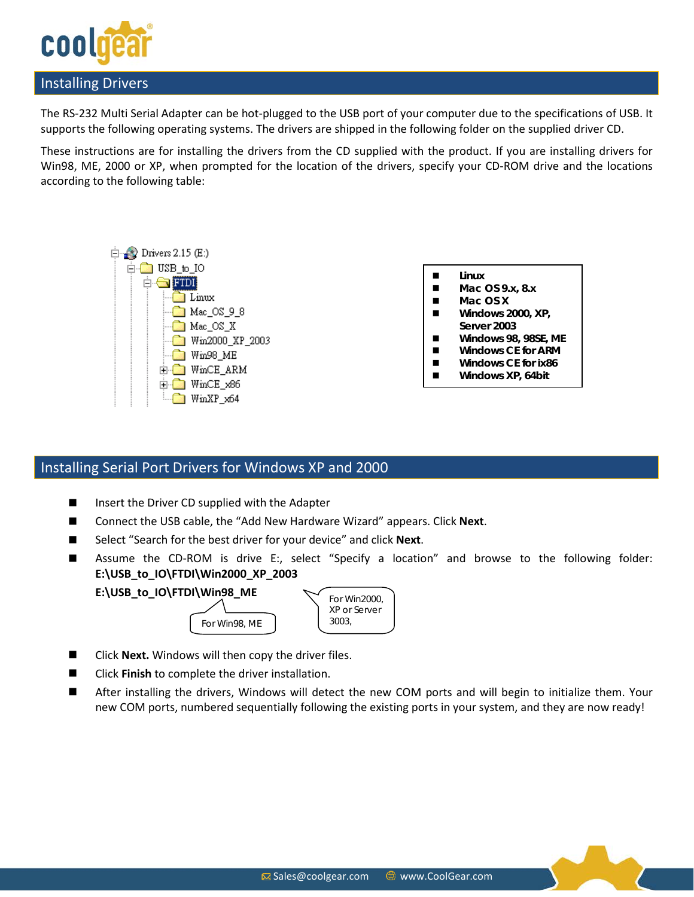

### Installing Drivers

The [RS-232 Multi Serial Adapter](http://www.coolgear.com/product/rs232422485-to-usb-2-0-serial-adapter-combo) can be hot-plugged to the USB port of your computer due to the specifications of USB. It supports the following operating systems. The drivers are shipped in the following folder on the supplied driver CD.

These instructions are for installing the drivers from the CD supplied with the product. If you are installing drivers for Win98, ME, 2000 or XP, when prompted for the location of the drivers, specify your CD-ROM drive and the locations according to the following table:





#### Installing Serial Port Drivers for Windows XP and 2000

- Insert the Driver CD supplied with the Adapter
- Connect the USB cable, the "Add New Hardware Wizard" appears. Click Next.
- Select "Search for the best driver for your device" and click **Next**.
- Assume the CD-ROM is drive E:, select "Specify a location" and browse to the following folder: **E:\USB\_to\_IO\FTDI\Win2000\_XP\_2003**

**E:\USB\_to\_IO\FTDI\Win98\_ME**



- Click **Next.** Windows will then copy the driver files.
- Click **Finish** to complete the driver installation.
- After installing the drivers, Windows will detect the new COM ports and will begin to initialize them. Your new COM ports, numbered sequentially following the existing ports in your system, and they are now ready!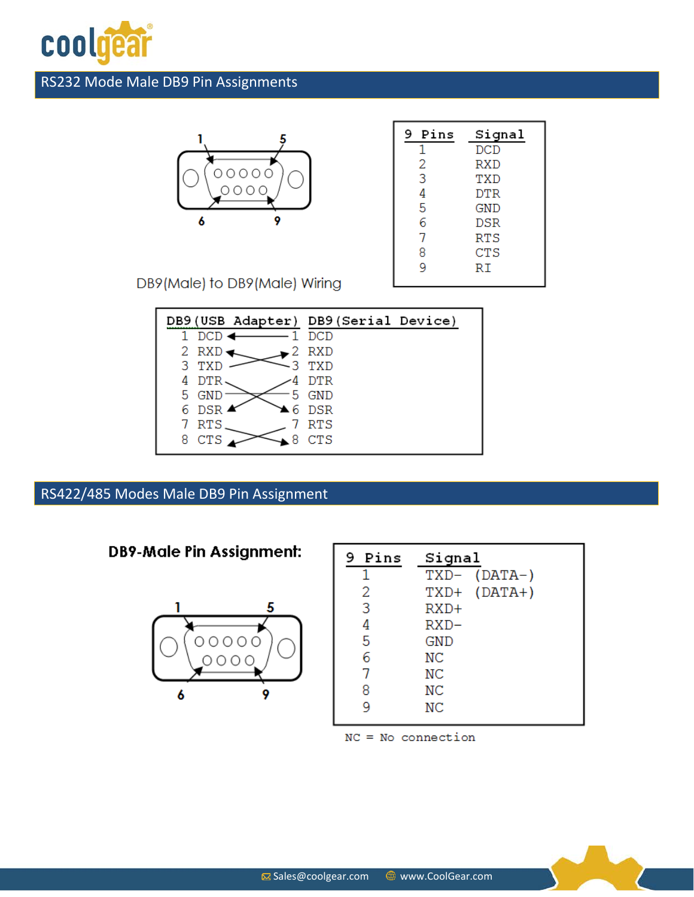

# RS232 Mode Male DB9 Pin Assignments



| Pins<br>9 | Signal     |
|-----------|------------|
| 1         | <b>DCD</b> |
| 2         | RXD        |
| 3         | TXD        |
| 4         | <b>DTR</b> |
| 5         | <b>GND</b> |
| 6         | <b>DSR</b> |
| 7         | RTS        |
| 8         | <b>CTS</b> |
| 9         | RI         |
|           |            |

DB9(Male) to DB9(Male) Wiring

|                       | DB9(USB Adapter) DB9(Serial Device) |
|-----------------------|-------------------------------------|
| 1 DCD $\triangleleft$ | DCD                                 |
| 2 RXD                 | 2 RXD                               |
| TXD<br>3              | <b>TXD</b>                          |
| 4 DTR                 | <b>DTR</b>                          |
| 5 GND                 | <b>GND</b>                          |
| 6 DSR                 | <b>DSR</b>                          |
| 7 RTS                 | <b>RTS</b>                          |
| 8 CTS                 | CTS                                 |

RS422/485 Modes Male DB9 Pin Assignment

**DB9-Male Pin Assignment:** 



| 9 Pins      | Signal            |  |
|-------------|-------------------|--|
| $\mathbf 1$ | TXD-<br>$(DATA-)$ |  |
| 2           | TXD+ (DATA+)      |  |
| 3           | RXD+              |  |
| 4           | $RXD-$            |  |
| 5           | GND               |  |
| 6           | ΝC                |  |
| 7           | ΝC                |  |
| 8           | ΝC                |  |
| q           | ΝC                |  |

 $NC = No connection$